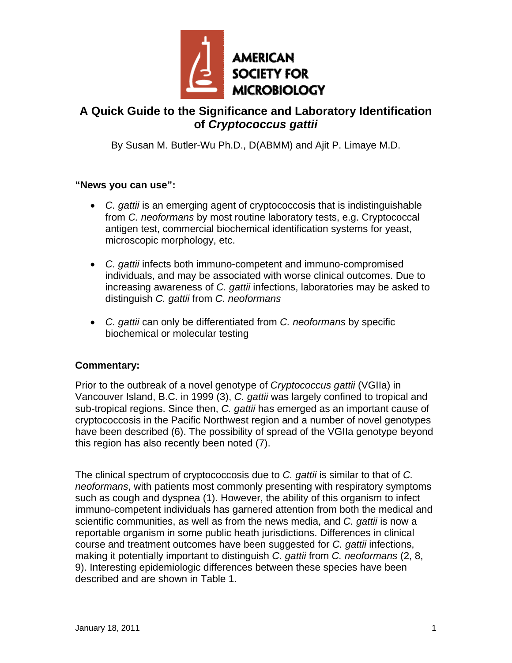

## **A Quick Guide to the Significance and Laboratory Identification of** *Cryptococcus gattii*

By Susan M. Butler-Wu Ph.D., D(ABMM) and Ajit P. Limaye M.D.

## **"News you can use":**

- *C. gattii* is an emerging agent of cryptococcosis that is indistinguishable from *C. neoformans* by most routine laboratory tests, e.g. Cryptococcal antigen test, commercial biochemical identification systems for yeast, microscopic morphology, etc.
- *C. gattii* infects both immuno-competent and immuno-compromised individuals, and may be associated with worse clinical outcomes. Due to increasing awareness of *C. gattii* infections, laboratories may be asked to distinguish *C. gattii* from *C. neoformans*
- *C. gattii* can only be differentiated from *C. neoformans* by specific biochemical or molecular testing

## **Commentary:**

Prior to the outbreak of a novel genotype of *Cryptococcus gattii* (VGIIa) in Vancouver Island, B.C. in 1999 (3), *C. gattii* was largely confined to tropical and sub-tropical regions. Since then, *C. gattii* has emerged as an important cause of cryptococcosis in the Pacific Northwest region and a number of novel genotypes have been described (6). The possibility of spread of the VGIIa genotype beyond this region has also recently been noted (7).

The clinical spectrum of cryptococcosis due to *C. gattii* is similar to that of *C. neoformans*, with patients most commonly presenting with respiratory symptoms such as cough and dyspnea (1). However, the ability of this organism to infect immuno-competent individuals has garnered attention from both the medical and scientific communities, as well as from the news media, and *C. gattii* is now a reportable organism in some public heath jurisdictions. Differences in clinical course and treatment outcomes have been suggested for *C. gattii* infections, making it potentially important to distinguish *C. gattii* from *C. neoformans* (2, 8, 9). Interesting epidemiologic differences between these species have been described and are shown in Table 1.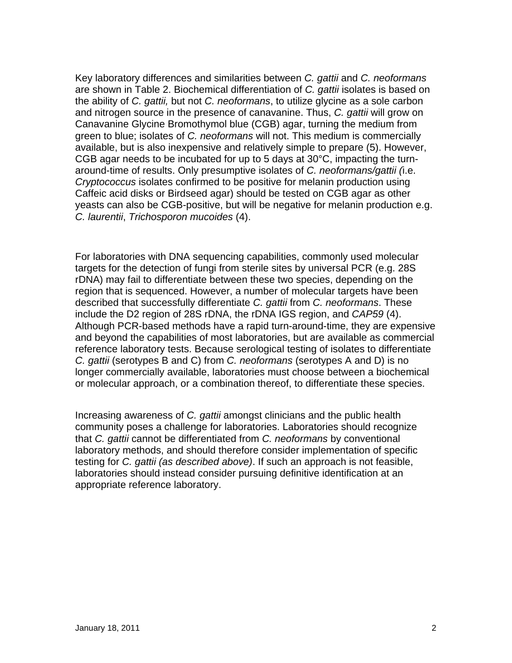Key laboratory differences and similarities between *C. gattii* and *C. neoformans* are shown in Table 2. Biochemical differentiation of *C. gattii* isolates is based on the ability of *C. gattii,* but not *C. neoformans*, to utilize glycine as a sole carbon and nitrogen source in the presence of canavanine. Thus, *C. gattii* will grow on Canavanine Glycine Bromothymol blue (CGB) agar, turning the medium from green to blue; isolates of *C. neoformans* will not. This medium is commercially available, but is also inexpensive and relatively simple to prepare (5). However, CGB agar needs to be incubated for up to 5 days at 30°C, impacting the turnaround-time of results. Only presumptive isolates of *C. neoformans/gattii (*i.e. *Cryptococcus* isolates confirmed to be positive for melanin production using Caffeic acid disks or Birdseed agar) should be tested on CGB agar as other yeasts can also be CGB-positive, but will be negative for melanin production e.g. *C. laurentii*, *Trichosporon mucoides* (4).

For laboratories with DNA sequencing capabilities, commonly used molecular targets for the detection of fungi from sterile sites by universal PCR (e.g. 28S rDNA) may fail to differentiate between these two species, depending on the region that is sequenced. However, a number of molecular targets have been described that successfully differentiate *C. gattii* from *C. neoformans*. These include the D2 region of 28S rDNA, the rDNA IGS region, and *CAP59* (4). Although PCR-based methods have a rapid turn-around-time, they are expensive and beyond the capabilities of most laboratories, but are available as commercial reference laboratory tests. Because serological testing of isolates to differentiate *C. gattii* (serotypes B and C) from *C. neoformans* (serotypes A and D) is no longer commercially available, laboratories must choose between a biochemical or molecular approach, or a combination thereof, to differentiate these species.

Increasing awareness of *C. gattii* amongst clinicians and the public health community poses a challenge for laboratories. Laboratories should recognize that *C. gattii* cannot be differentiated from *C. neoformans* by conventional laboratory methods, and should therefore consider implementation of specific testing for *C. gattii (as described above)*. If such an approach is not feasible, laboratories should instead consider pursuing definitive identification at an appropriate reference laboratory.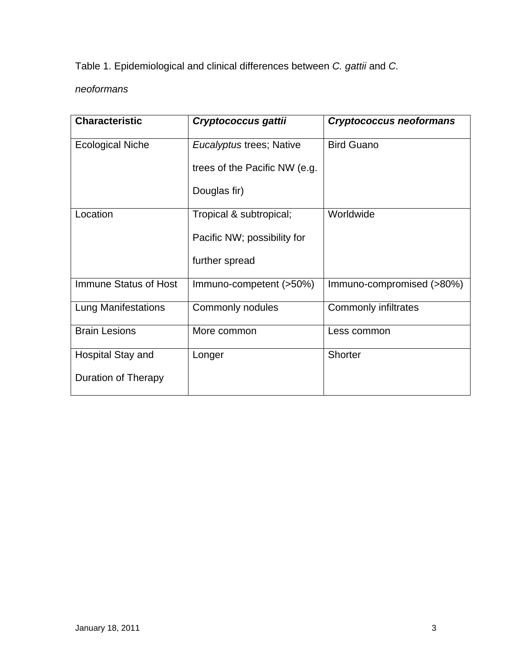Table 1. Epidemiological and clinical differences between *C. gattii* and *C.* 

*neoformans*

| <b>Characteristic</b>      | Cryptococcus gattii           | <b>Cryptococcus neoformans</b> |
|----------------------------|-------------------------------|--------------------------------|
| <b>Ecological Niche</b>    | Eucalyptus trees; Native      | <b>Bird Guano</b>              |
|                            | trees of the Pacific NW (e.g. |                                |
|                            | Douglas fir)                  |                                |
| Location                   | Tropical & subtropical;       | Worldwide                      |
|                            | Pacific NW; possibility for   |                                |
|                            | further spread                |                                |
| Immune Status of Host      | Immuno-competent (>50%)       | Immuno-compromised (>80%)      |
| <b>Lung Manifestations</b> | Commonly nodules              | <b>Commonly infiltrates</b>    |
| <b>Brain Lesions</b>       | More common                   | Less common                    |
| Hospital Stay and          | Longer                        | Shorter                        |
| <b>Duration of Therapy</b> |                               |                                |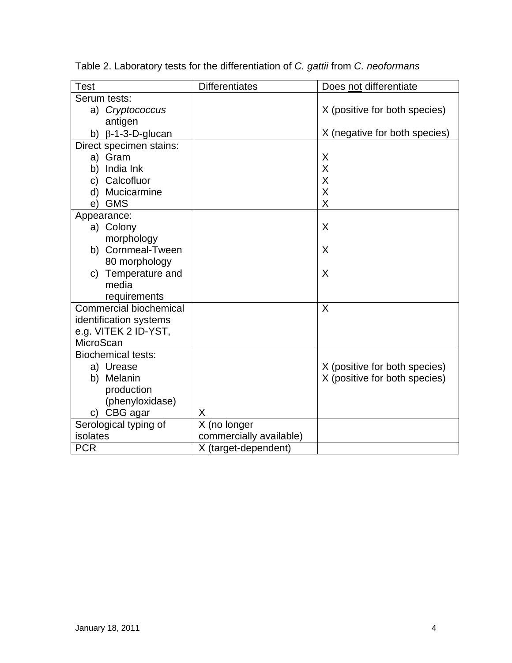| <b>Test</b>                   | <b>Differentiates</b>   | Does not differentiate        |
|-------------------------------|-------------------------|-------------------------------|
| Serum tests:                  |                         |                               |
| a) Cryptococcus               |                         | X (positive for both species) |
| antigen                       |                         |                               |
| b) $\beta$ -1-3-D-glucan      |                         | X (negative for both species) |
| Direct specimen stains:       |                         |                               |
| a) Gram                       |                         | Χ                             |
| India Ink<br>b)               |                         | Χ                             |
| c) Calcofluor                 |                         | Χ                             |
| Mucicarmine<br>d)             |                         | X                             |
| <b>GMS</b><br>e)              |                         | X                             |
| Appearance:                   |                         |                               |
| a) Colony                     |                         | X                             |
| morphology                    |                         |                               |
| b) Cornmeal-Tween             |                         | X                             |
| 80 morphology                 |                         |                               |
| c) Temperature and            |                         | X                             |
| media                         |                         |                               |
| requirements                  |                         |                               |
| <b>Commercial biochemical</b> |                         | X                             |
| identification systems        |                         |                               |
| e.g. VITEK 2 ID-YST,          |                         |                               |
| MicroScan                     |                         |                               |
| <b>Biochemical tests:</b>     |                         |                               |
| a) Urease                     |                         | X (positive for both species) |
| b) Melanin                    |                         | X (positive for both species) |
| production                    |                         |                               |
| (phenyloxidase)               |                         |                               |
| c) CBG agar                   | X                       |                               |
| Serological typing of         | X (no longer            |                               |
| isolates                      | commercially available) |                               |
| <b>PCR</b>                    | X (target-dependent)    |                               |

Table 2. Laboratory tests for the differentiation of *C. gattii* from *C. neoformans*